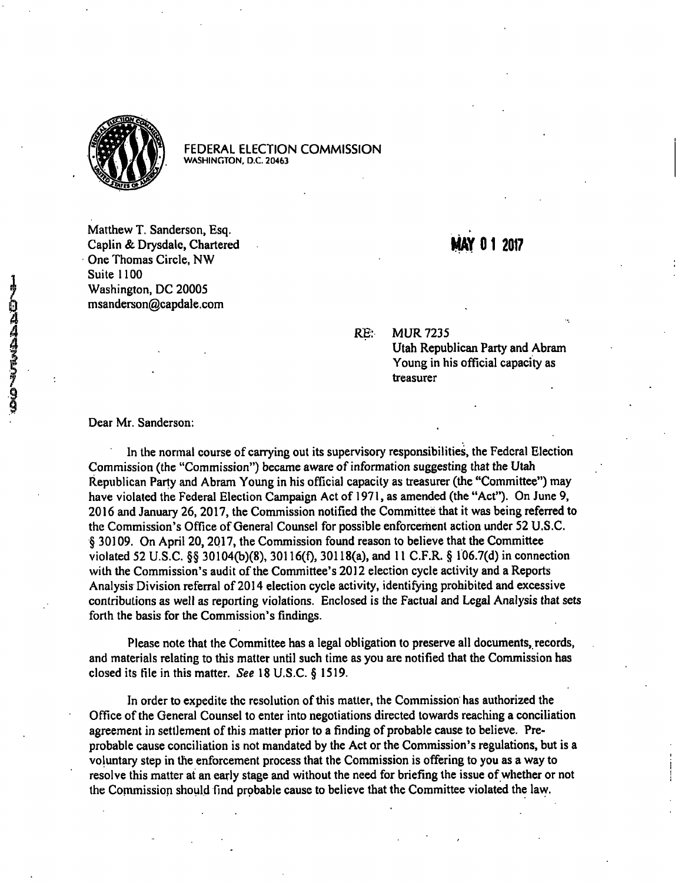

FEDERAL ELECTION COMMISSION **WASHINGTON, D.C. 20463** 

Matthew T. Sanderson, Esq. Caplin & Drysdale, Chartered MAY 0 1 2017 One Thomas Circle, NW Suite 1100 Washington, DC 20005 0 msanderson@capdale.com

 $\frac{4}{4}$  RE: MUR 7235

RE: MUR 7235<br>Utah Republican Party and Abram Young in his official capacity as treasurer

### Dear Mr. Sanderson;

In the normal course of carrying out its supervisory responsibilities, the Federal Election Commission (the "Commission") became aware of information suggesting that the Utah Republican Party and Abram Young in his official capacity as treasurer (the "Committee") may have violated the Federal Election Campaign Act of 1971, as amended (the "Act"). On June 9, 2016 and January 26, 2017, the Commission notified the Committee that it was being referred to the Commission's Office of General Counsel for possible enforcement action under 52 U.S.C. § 30109. On April 20,2017, the Commission found reason to believe that the Committee violated 52 U.S.C. §§ 30104(b)(8), 30116(f), 30118(a), and 11 C.F.R. § 106.7(d) in connection with the Commission's audit of the Committee's 2012 election cycle activity and a Reports Analysis Division referral of 2014 election cycle activity, identifying prohibited and excessive contributions as well as reporting violations. Enclosed is the Factual and Legal Analysis that sets forth the basis for the Commission's findings.

Please note that the Committee has a legal obligation to preserve all documents, records, and materials relating to this matter until such time as you are notified that the Commission has closed its file in this matter. See 18 U.S.C. § 1519.

In order to expedite the resolution of this matter, the Commission has authorized the Office of the General Counsel to enter into negotiations directed towards reaching a conciliation agreement in settlement of this matter prior to a finding of probable cause to believe. Preprobable cause conciliation is not mandated by the Act or the Commission's regulations, but is a voluntary step in the enforcement process that the Commission is offering to you as a way to resolve this matter at an early stage and without the need for briefing the issue of whether or not the Commission should find probable cause to believe that the Committee violated the lavy.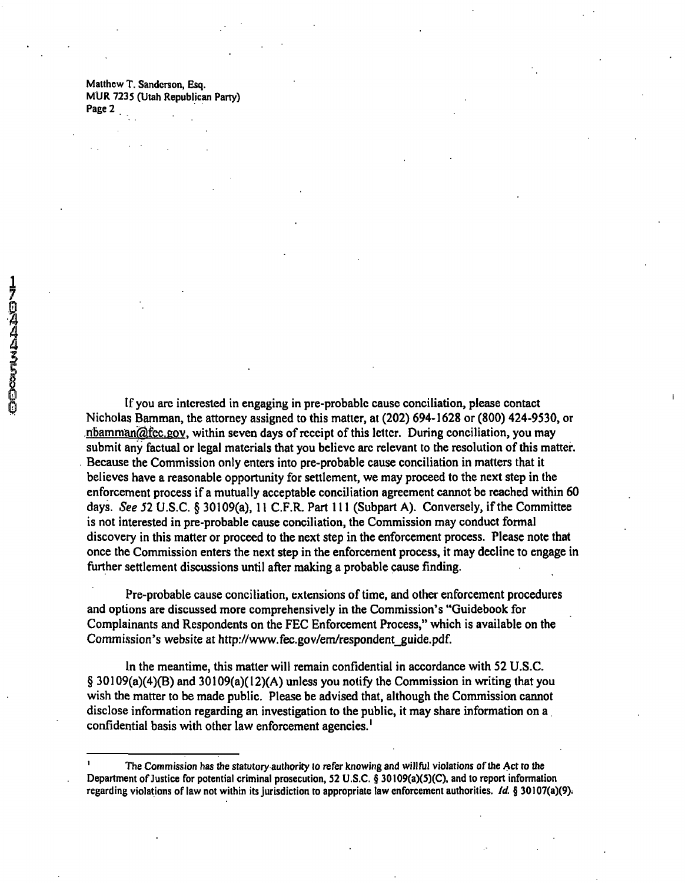Matthew T. Sanderson, Esq. MUR 7235 (Utah Republican Party) Page 2

If you are interested in engaging in pre-probable cause conciliation, please contact Nicholas Bamman, the attorney assigned to this matter, at (202) 694-1628 or (800) 424-9530, or  $n$ bamman $\widehat{Q}$ fec.gov, within seven days of receipt of this letter. During conciliation, you may submit any factual or legal materials that you believe arc relevant to the resolution of this matter. Because the Commission only enters into pre-probable cause conciliation in matters that it believes have a reasonable opportunity for settlement, we may proceed to the next step in the enforcement process if a mutually acceptable conciliation agreement cannot be reached within 60 days. See 52 U.S.C. § 30109(a), 11 C.F.R. Part 111 (Subpart A). Conversely, if the Committee is not interested in pre-probable cause conciliation, the Commission may conduct formal discovery in this matter or proceed to the next step in the enforcement process. Please note that once the Commission enters the next step in the enforcement process, it may decline to engage in further settlement discussions until after making a probable cause finding.

Pre-probable cause conciliation, extensions of time, and other enforcement procedures and options are discussed more comprehensively in the Commission's "Guidebook for Complainants and Respondents on the FEC Enforcement Process," which is available on the Commission's website at http://www.fec.gov/em/respondent\_guide.pdf.

In the meantime, this matter will remain confidential in accordance with 52 U.S.C.  $\S 30109(a)(4)(B)$  and  $30109(a)(12)(A)$  unless you notify the Commission in writing that you wish the matter to be made public. Please be advised that, although the Commission cannot disclose information regarding an investigation to the public, it may share information on a confidential basis with other law enforcement agencies.'

The Commission has the statutory authority to refer knowing and willful violations of the Act to the Department of Justice for potential criminal prosecution, 52 U.S.C. § 30109(a)(5)(C), and to report information regarding violations of law not within its jurisdiction to appropriate law enforcement authorities. Id. § 30107(a)(9).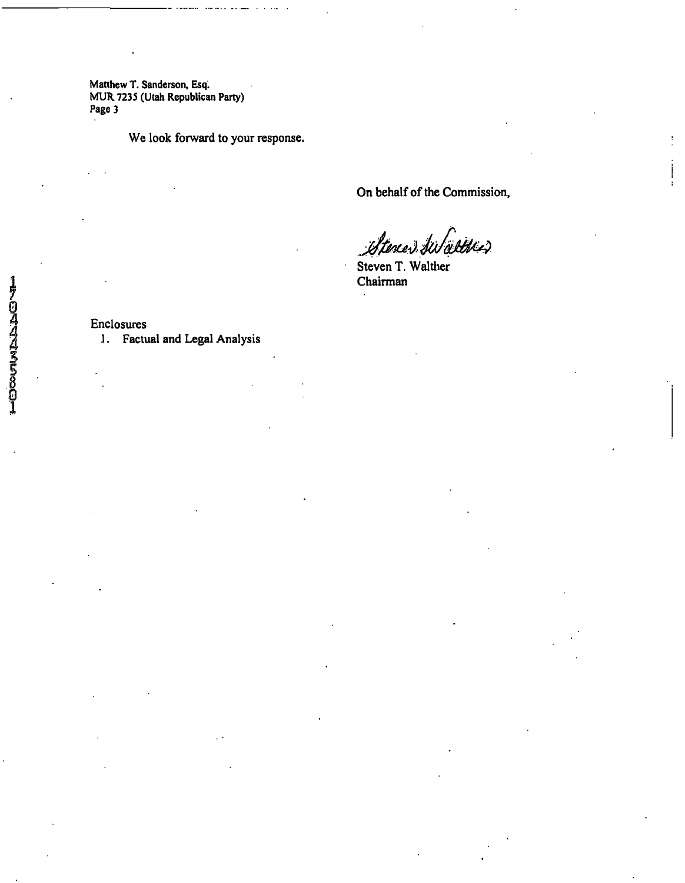Matthew T. Sanderson, Esq. MUR. 7235 (Utah Republican Party) Page 3

We look forward to your response.

On behalf of the Commission,

÷.

Stereer Swaltwer

Steven T. Walther Chairman

Enclosures

 $\cdot$ 

1. Factual and Legal Analysis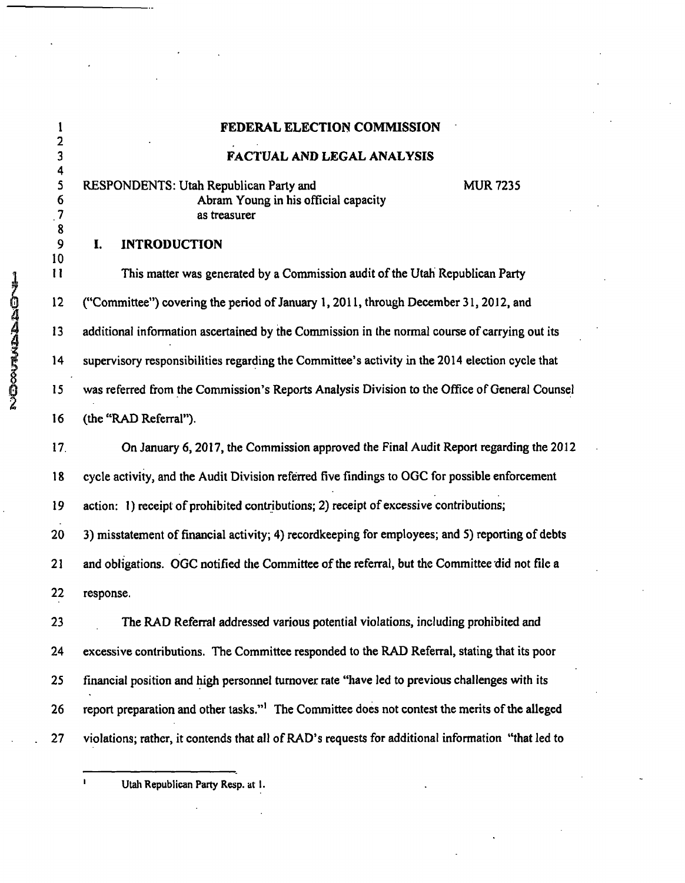### **1 FEDERAL ELECTION COMMISSION**

# **3 FACTUAL AND LEGAL ANALYSIS**

RESPONDENTS: Utah Republican Party and MUR7235 6 Abram Young in his official capacity 7 as treasurer

### **9 I. INTRODUCTION**

2 11 This matter was generated by a Commission audit of the Utah Republican Party<br>
2 ("Committee") covering the period of January 1, 2011, through December 31, 2012, and<br>
2 additional information ascertained by the Commiss 12 ("Committee") covering the period of January 1, 2011, through December 31, 2012, and 13 additional information ascertained by the Commission in the normal course of carrying out its 14 supervisory responsibilities regarding the Committee's activity in the 2014 election cycle that 15 was referred from the Commission's Reports Analysis Division to the Office of General Counsel **2 • •**  16 (the "RAD Referral").

17. On January 6, 2017, the Commission approved the Final Audit Report regarding the 2012 18 cycle activity, and the Audit Division referred five findings to OGC for possible enforcement 19 action: 1) receipt of prohibited contributions; 2) receipt of excessive contributions; 20 3) misstatement of financial activity; 4) recordkeeping for employees; and 5) reporting of debts 21 and obligations. OGC notified the Committee of the referral, but the Committee did not file a 22 response.

23 The RAD Referral addressed various potential violations, including prohibited and 24 excessive contributions. The Committee responded to the RAD Referral, stating that its poor 25 financial position and high personnel turnover rate "have led to previous challenges with its 26 report preparation and other tasks."' The Committee does not contest the merits of the alleged 27 violations; rather, it contends that all of RAD's requests for additional information "that led to

Utah Republican Party Resp. at I.

2

4<br>5

8

10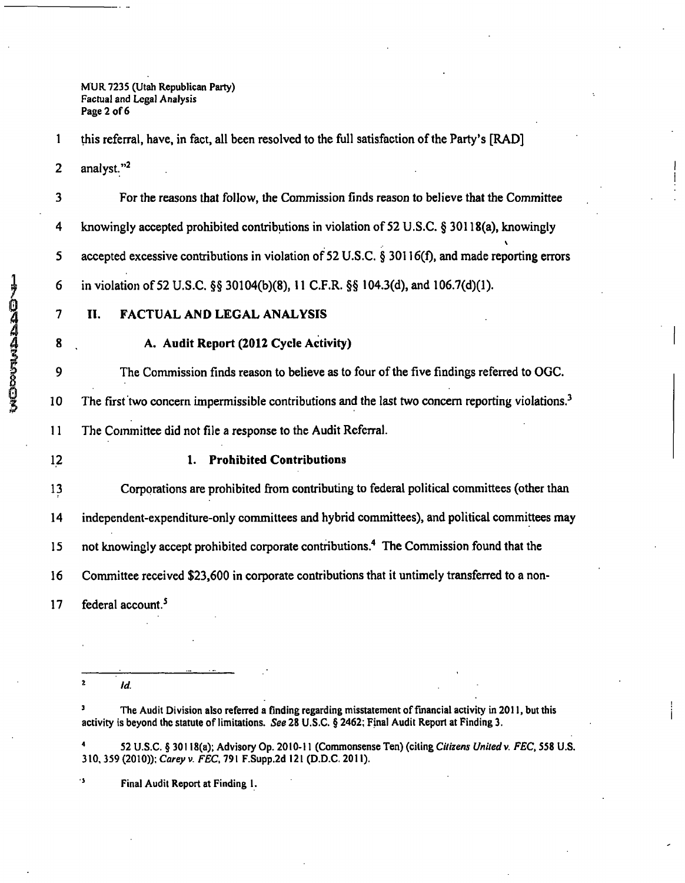MUR7235 (Utah Republican Party) Factual and Legal Analysis Page 2 of 6

1 this referral, have, in fact, all been resolved to the full satisfaction of the Party's [RAD] 2 analyst."<sup>2</sup>

3 For the reasons that follow, the Commission finds reason to believe that the Committee 4 knowingly accepted prohibited contributions in violation of 52 U.S.C. § 30118(a), knowingly  $\mathbf{v}$ 5 accepted excessive contributions in violation of 52 U.S.C. § 30116(f), and made reporting errors 6 in violation of 52 U.S.C. §§ 30104(b)(8), 11 C.F.R. §§ 104.3(d), and 106.7(d)(1).

- 7 II. FACTUAL AND LEGAL ANALYSIS
- 

# **8 A. Audit Report (2012 Cycle Activity)**

9 The Commission finds reason to believe as to four of the five findings referred to OGC. 10 The first two concern impermissible contributions and the last two concern reporting violations.<sup>3</sup>

11 The Committee did not file a response to the Audit Referral.

# **12 1. Prohibited Contributions**

13 Corporations are prohibited from contributing to federal political committees (other than

14 independent-expenditure-only committees and hybrid committees), and political committees may

15 not knowingly accept prohibited corporate contributions.<sup>4</sup> The Commission found that the

16 Committee received \$23,600 in corporate contributions that it untimely transferred to a non-

17 federal account.<sup>5</sup>

*^ Id.* 

<sup>3</sup> The Audit Division also referred a finding regarding misstatement of financial activity in 2011, but this activity is beyond the statute of limitations. See 28 U.S.C. § 2462; Final Audit Report at Finding 3.

52 U.S.C. § 30118(a); Advisory Op. 2010-11 (Commonsense Ten) (citing Citizens United v. FEC, 558 U.S. 310, 359 (2010)); Carey v. FEC. 791 F.Supp.2d 121 (D.D.C. 2011).

Final Audit Report at Finding 1.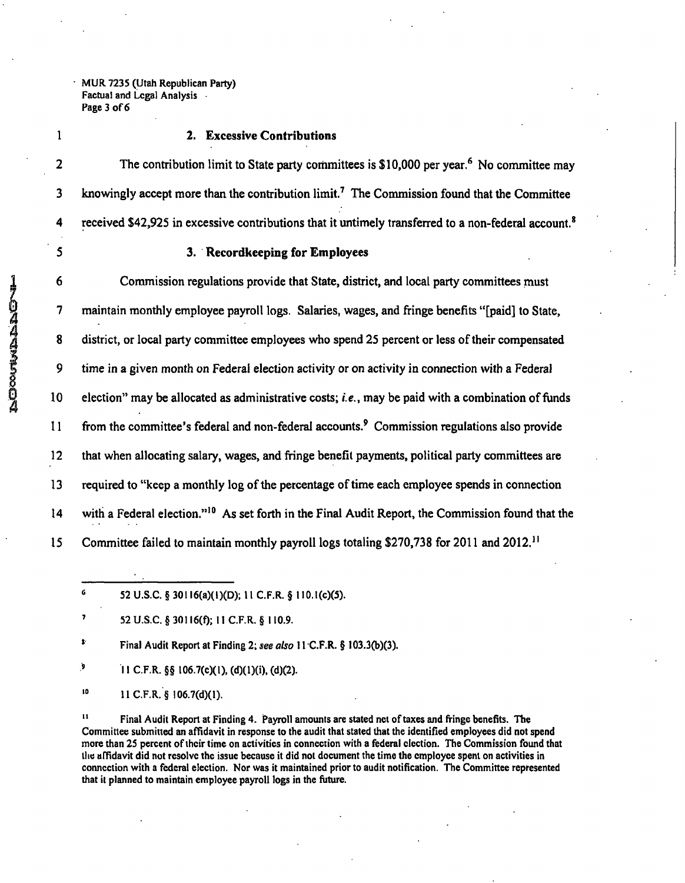**• MUR 7235 (Utah Republican Party) Factual and Legal Analysis Page 3 of 6** 

# **1 2. Excessive Contributions**

2 The contribution limit to State party committees is \$10,000 per year.<sup>6</sup> No committee may 3 knowingly accept more than the contribution limit.<sup>7</sup> The Commission found that the Committee 4 received \$42,925 in excessive contributions that it untimely transferred to a non-federal account.<sup>8</sup>

## **5 3. Recordkeeping for Employees**

6 Commission regulations provide that State, district, and local party committees must 7 maintain monthly employee payroll logs. Salaries, wages, and fringe benefits "[paid] to State, 8 district, or local party committee employees who spend 25 percent or less of their compensated 9 time in a given month on Federal election activity or on activity in connection with a Federal 10 election" may be allocated as administrative costs; i.e., may be paid with a combination of funds 11 from the committee's federal and non-federal accounts.' Commission regulations also provide 12 that when allocating salary, wages, and fringe benefit payments, political party committees are 13 required to "keep a monthly log of the percentage of time each employee spends in connection 14 with a Federal election."" As set forth in the Final Audit Report, the Commission found that the 15 Committee failed to maintain monthly payroll logs totaling \$270,738 for 2011 and 2012."

**' Final Audit Report at Finding 2; see also 11 C.F.R. § 103.3(b)(3).** 

<sup>9</sup> 11 C.F.R. §§ 106.7(c)(1), (d)(1)(i), (d)(2).

**'» 11 C.F.R. § 106.7(d)(1).** 

**'' Final Audit Report at Finding 4. Payroll amounts are stated net of taxes and fringe benefits. The Committee submitted an affidavit in response to the audit that stated that the identified employees did not spend more than 25 percent of their time on activities in connection with a federal election. The Commission found that the affidavit did not resolve the issue because it did not document the time the employee spent on activities in connection with a federal election. Nor was it maintained prior to audit notification. The Committee represented that it planned to maintain employee payroll logs in the future.** 

**<sup>« 52</sup> U.S.C. § 30116(a)( 1 )(D); 11 C.F.R. § II0.1(c)(5).** 

**<sup>&#</sup>x27; 52 U.S.C. § 30116(f); 11 C.F.R. § 110.9.**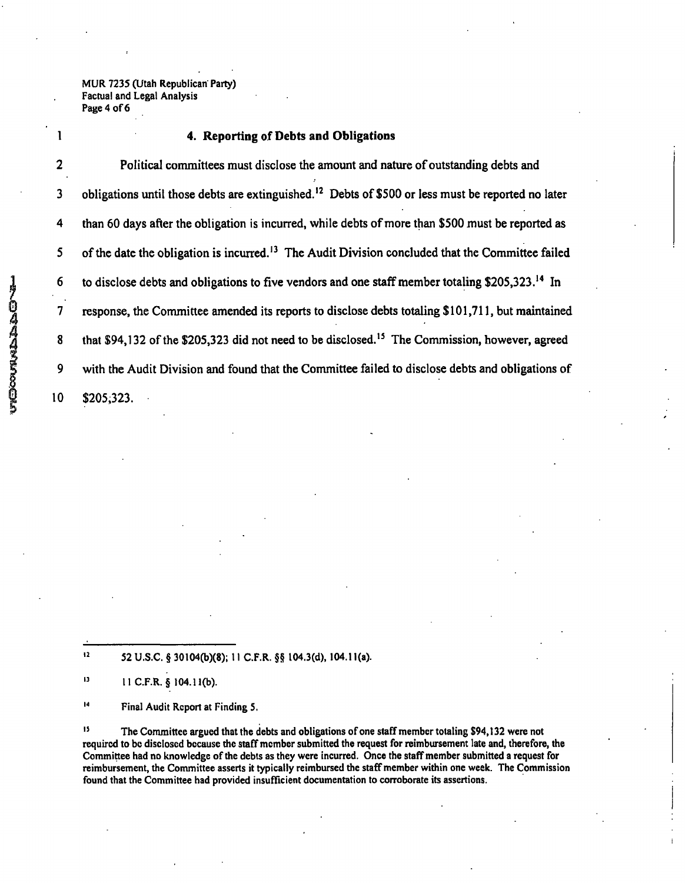MUR 7235 (Utah Republican Party) Factual and Legal Analysis Page 4 of 6

### **1 4. Reporting of Debts and Obligations**

2 Political committees must disclose the amount and nature of outstanding debts and 3 obligations until those debts are extinguished.<sup>12</sup> Debts of \$500 or less must be reported no later 4 than 60 days after the obligation is incurred, while debts of more than \$500 must be reported as 5 of the date the obligation is incurred.<sup>13</sup> The Audit Division concluded that the Committee failed 6 to disclose debts and obligations to five vendors and one staff member totaling \$205,323.<sup>14</sup> In 7 response, the Committee amended its reports to disclose debts totaling \$ 101,711, but maintained 8 that \$94,132 of the \$205,323 did not need to be disclosed.<sup>15</sup> The Commission, however, agreed 9 with the Audit Division and found that the Committee failed to disclose debts and obligations of 10 \$205,323.

 $12$ **52 U.S.C. § 30104(b)(8); 11 C.F.R. §§ 104.3(d), 104.11(a).** 

 $\mathbf{13}$ **11 C.F.R. § 104.11(b).** 

 $\mathbf{14}$ **Final Audit Report at Finding 5.** 

**<sup>15</sup>The Committee argued that the debts and obligations of one staff member totaling S94,132 were not required to be disclosed because the staff member submitted the request for reimbursement late and, therefore, the Committee had no knowledge of the debts as they were incurred. Once the staff member submitted a request for reimbursement, the Committee asserts it typically reimbursed the staff member within one week. The Commission found that the Committee had provided insufficient documentation to corroborate its assertions.**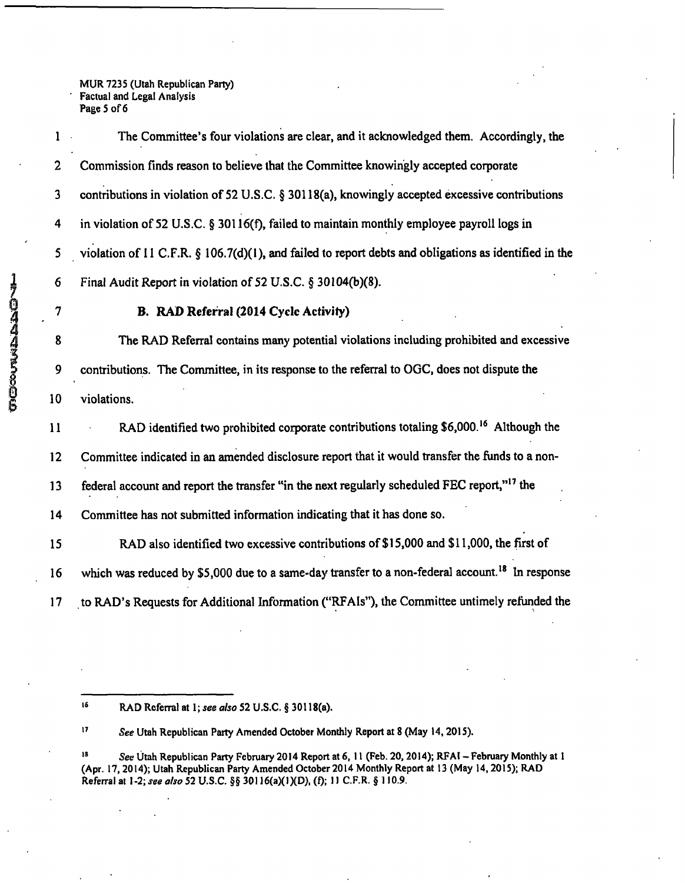MUR 7235 (Utah Republican Party) ' Factual and Legal Analysis Page 5 of 6

| 170447363006 | 1                       | The Committee's four violations are clear, and it acknowledged them. Accordingly, the                       |
|--------------|-------------------------|-------------------------------------------------------------------------------------------------------------|
|              | $\mathbf{2}$            | Commission finds reason to believe that the Committee knowingly accepted corporate                          |
|              | $\mathbf{3}$            | contributions in violation of 52 U.S.C. § 30118(a), knowingly accepted excessive contributions              |
|              | $\overline{\mathbf{4}}$ | in violation of 52 U.S.C. § 30116(f), failed to maintain monthly employee payroll logs in                   |
|              | 5                       | violation of 11 C.F.R. $\S$ 106.7(d)(1), and failed to report debts and obligations as identified in the    |
|              | 6                       | Final Audit Report in violation of 52 U.S.C. § 30104(b)(8).                                                 |
|              | 7                       | B. RAD Referral (2014 Cycle Activity)                                                                       |
|              | 8                       | The RAD Referral contains many potential violations including prohibited and excessive                      |
|              | 9                       | contributions. The Committee, in its response to the referral to OGC, does not dispute the                  |
|              | 10                      | violations.                                                                                                 |
|              | 11                      | RAD identified two prohibited corporate contributions totaling \$6,000. <sup>16</sup> Although the          |
|              | 12                      | Committee indicated in an amended disclosure report that it would transfer the funds to a non-              |
|              | 13                      | federal account and report the transfer "in the next regularly scheduled FEC report," <sup>17</sup> the     |
|              | 14                      | Committee has not submitted information indicating that it has done so.                                     |
|              | 15                      | RAD also identified two excessive contributions of \$15,000 and \$11,000, the first of                      |
|              | 16                      | which was reduced by \$5,000 due to a same-day transfer to a non-federal account. <sup>18</sup> In response |
|              | 17                      | to RAD's Requests for Additional Information ("RFAIs"), the Committee untimely refunded the                 |

 $16$ **RAD Referral at 1; see also 52 U .S.C. § 30118(a).** 

<sup>17</sup> See Utah Republican Party Amended October Monthly Report at 8 (May 14, 2015).

<sup>18</sup> See Utah Republican Party February 2014 Report at 6, 11 (Feb. 20, 2014); RFAI - February Monthly at 1 **(Apr. 17,2014); Utah Republican Party Amended October 2014 Monthly Report at 13 (May 14,2015); RAD Referral at 1-2; see also 52 U.S.C. §§ 30116(aXl)(D), (f); 11 C.F.R. § 110.9.**